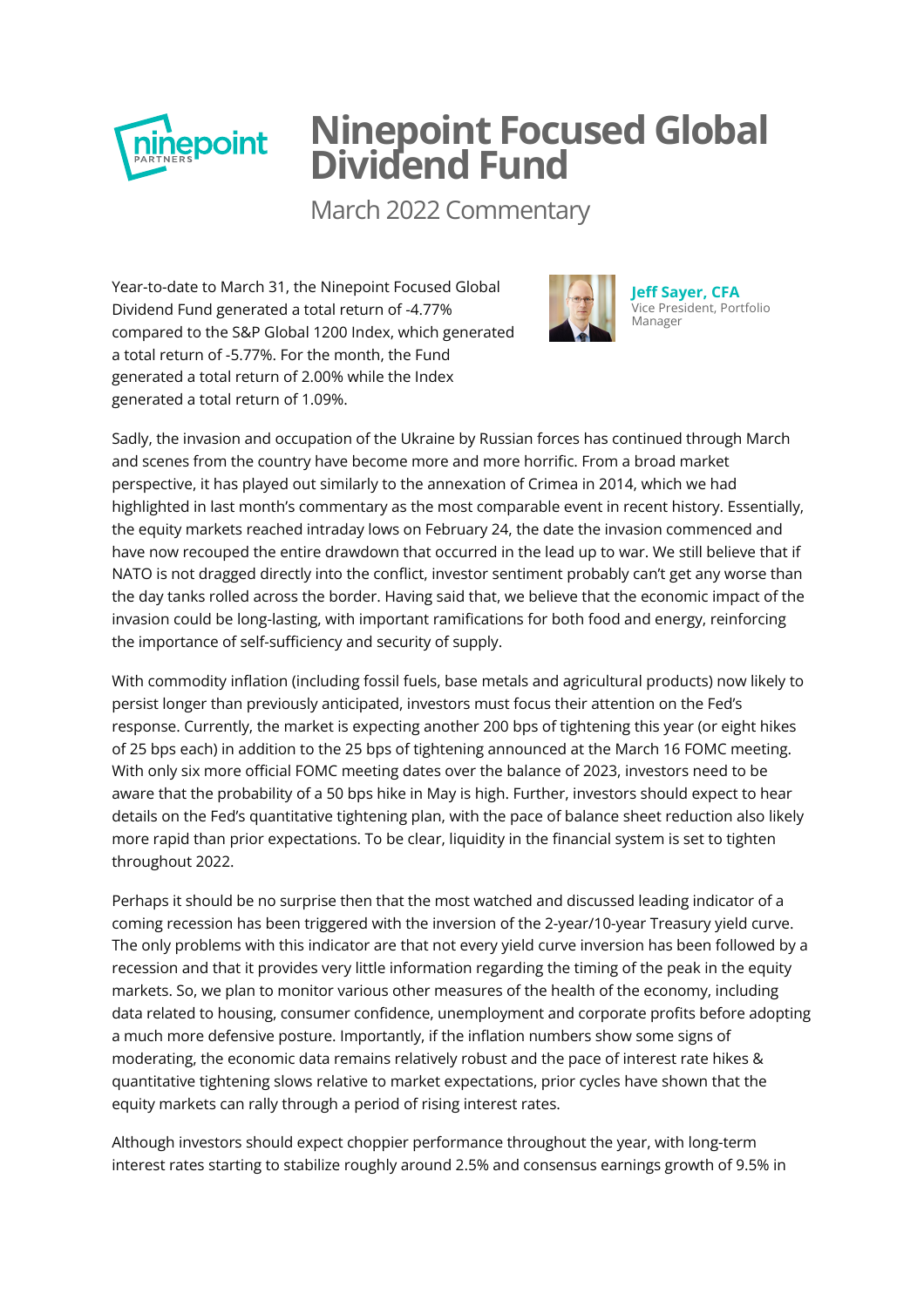

## **Ninepoint Focused Global Dividend Fund**

March 2022 Commentary

Year-to-date to March 31, the Ninepoint Focused Global Dividend Fund generated a total return of -4.77% compared to the S&P Global 1200 Index, which generated a total return of -5.77%. For the month, the Fund generated a total return of 2.00% while the Index generated a total return of 1.09%.



**Jeff Sayer, CFA** [Vice President, Portfolio](http://www.ninepoint.com/about-ninepoint/leadership/investment-team/ninepoint/jeff-sayer/) Manager

Sadly, the invasion and occupation of the Ukraine by Russian forces has continued through March and scenes from the country have become more and more horrific. From a broad market perspective, it has played out similarly to the annexation of Crimea in 2014, which we had highlighted in last month's commentary as the most comparable event in recent history. Essentially, the equity markets reached intraday lows on February 24, the date the invasion commenced and have now recouped the entire drawdown that occurred in the lead up to war. We still believe that if NATO is not dragged directly into the conflict, investor sentiment probably can't get any worse than the day tanks rolled across the border. Having said that, we believe that the economic impact of the invasion could be long-lasting, with important ramifications for both food and energy, reinforcing the importance of self-sufficiency and security of supply.

With commodity inflation (including fossil fuels, base metals and agricultural products) now likely to persist longer than previously anticipated, investors must focus their attention on the Fed's response. Currently, the market is expecting another 200 bps of tightening this year (or eight hikes of 25 bps each) in addition to the 25 bps of tightening announced at the March 16 FOMC meeting. With only six more official FOMC meeting dates over the balance of 2023, investors need to be aware that the probability of a 50 bps hike in May is high. Further, investors should expect to hear details on the Fed's quantitative tightening plan, with the pace of balance sheet reduction also likely more rapid than prior expectations. To be clear, liquidity in the financial system is set to tighten throughout 2022.

Perhaps it should be no surprise then that the most watched and discussed leading indicator of a coming recession has been triggered with the inversion of the 2-year/10-year Treasury yield curve. The only problems with this indicator are that not every yield curve inversion has been followed by a recession and that it provides very little information regarding the timing of the peak in the equity markets. So, we plan to monitor various other measures of the health of the economy, including data related to housing, consumer confidence, unemployment and corporate profits before adopting a much more defensive posture. Importantly, if the inflation numbers show some signs of moderating, the economic data remains relatively robust and the pace of interest rate hikes & quantitative tightening slows relative to market expectations, prior cycles have shown that the equity markets can rally through a period of rising interest rates.

Although investors should expect choppier performance throughout the year, with long-term interest rates starting to stabilize roughly around 2.5% and consensus earnings growth of 9.5% in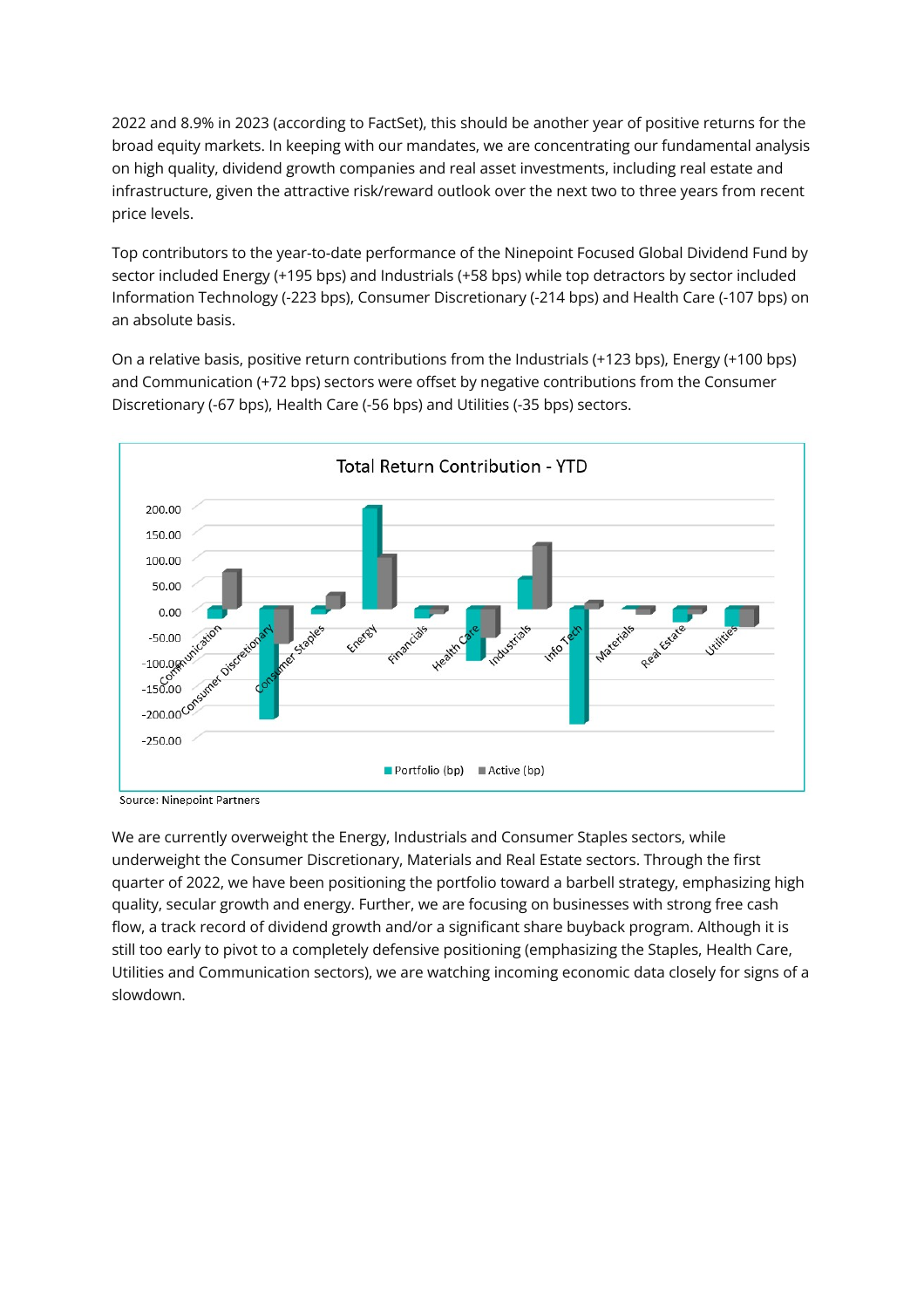2022 and 8.9% in 2023 (according to FactSet), this should be another year of positive returns for the broad equity markets. In keeping with our mandates, we are concentrating our fundamental analysis on high quality, dividend growth companies and real asset investments, including real estate and infrastructure, given the attractive risk/reward outlook over the next two to three years from recent price levels.

Top contributors to the year-to-date performance of the Ninepoint Focused Global Dividend Fund by sector included Energy (+195 bps) and Industrials (+58 bps) while top detractors by sector included Information Technology (-223 bps), Consumer Discretionary (-214 bps) and Health Care (-107 bps) on an absolute basis.

On a relative basis, positive return contributions from the Industrials (+123 bps), Energy (+100 bps) and Communication (+72 bps) sectors were offset by negative contributions from the Consumer Discretionary (-67 bps), Health Care (-56 bps) and Utilities (-35 bps) sectors.



**Source: Ninepoint Partners** 

We are currently overweight the Energy, Industrials and Consumer Staples sectors, while underweight the Consumer Discretionary, Materials and Real Estate sectors. Through the first quarter of 2022, we have been positioning the portfolio toward a barbell strategy, emphasizing high quality, secular growth and energy. Further, we are focusing on businesses with strong free cash flow, a track record of dividend growth and/or a significant share buyback program. Although it is still too early to pivot to a completely defensive positioning (emphasizing the Staples, Health Care, Utilities and Communication sectors), we are watching incoming economic data closely for signs of a slowdown.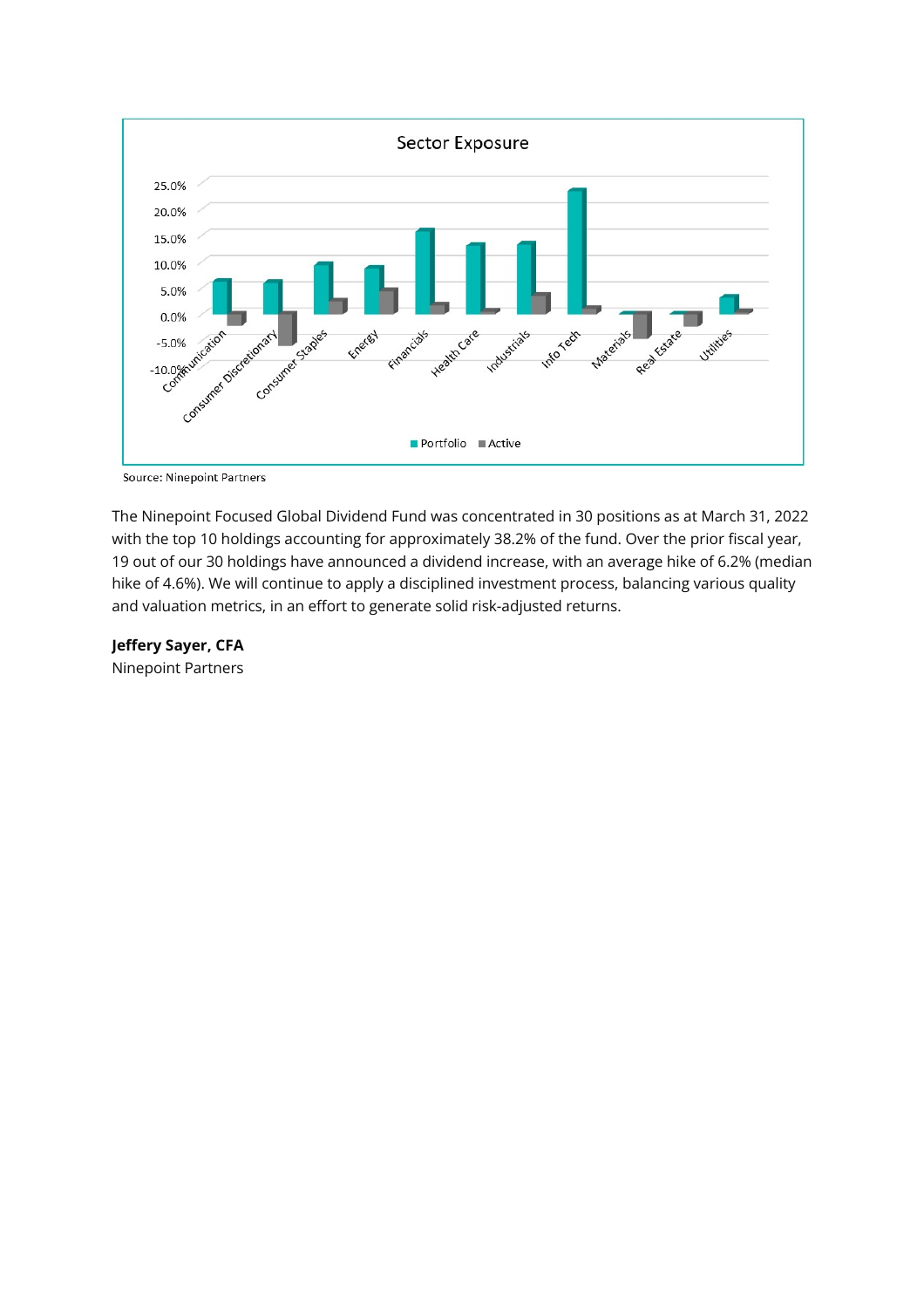

**Source: Ninepoint Partners** 

The Ninepoint Focused Global Dividend Fund was concentrated in 30 positions as at March 31, 2022 with the top 10 holdings accounting for approximately 38.2% of the fund. Over the prior fiscal year, 19 out of our 30 holdings have announced a dividend increase, with an average hike of 6.2% (median hike of 4.6%). We will continue to apply a disciplined investment process, balancing various quality and valuation metrics, in an effort to generate solid risk-adjusted returns.

**Jeffery Sayer, CFA** Ninepoint Partners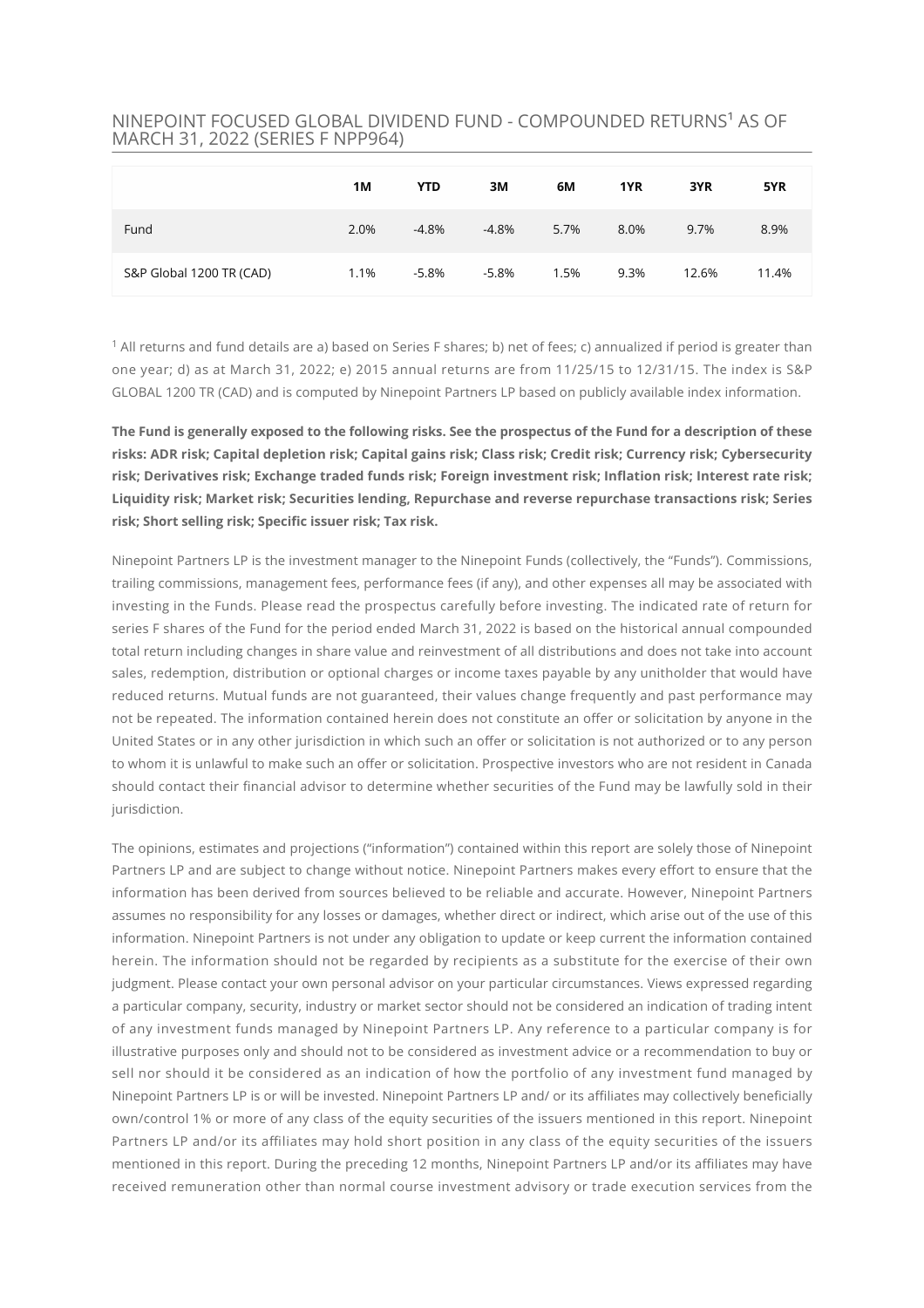## NINEPOINT FOCUSED GLOBAL DIVIDEND FUND - COMPOUNDED RETURNS<sup>1</sup> AS OF MARCH 31, 2022 (SERIES F NPP964)

|                          | 1M   | <b>YTD</b> | 3M       | 6M   | 1YR  | 3YR   | 5YR   |
|--------------------------|------|------------|----------|------|------|-------|-------|
| Fund                     | 2.0% | $-4.8%$    | $-4.8%$  | 5.7% | 8.0% | 9.7%  | 8.9%  |
| S&P Global 1200 TR (CAD) | 1.1% | $-5.8\%$   | $-5.8\%$ | 1.5% | 9.3% | 12.6% | 11.4% |

 $^{\rm 1}$  All returns and fund details are a) based on Series F shares; b) net of fees; c) annualized if period is greater than one year; d) as at March 31, 2022; e) 2015 annual returns are from 11/25/15 to 12/31/15. The index is S&P GLOBAL 1200 TR (CAD) and is computed by Ninepoint Partners LP based on publicly available index information.

**The Fund is generally exposed to the following risks. See the prospectus of the Fund for a description of these risks: ADR risk; Capital depletion risk; Capital gains risk; Class risk; Credit risk; Currency risk; Cybersecurity** risk; Derivatives risk; Exchange traded funds risk; Foreign investment risk; Inflation risk; Interest rate risk; **Liquidity risk; Market risk; Securities lending, Repurchase and reverse repurchase transactions risk; Series** risk; Short selling risk; Specific issuer risk; Tax risk.

Ninepoint Partners LP is the investment manager to the Ninepoint Funds (collectively, the "Funds"). Commissions, trailing commissions, management fees, performance fees (if any), and other expenses all may be associated with investing in the Funds. Please read the prospectus carefully before investing. The indicated rate of return for series F shares of the Fund for the period ended March 31, 2022 is based on the historical annual compounded total return including changes in share value and reinvestment of all distributions and does not take into account sales, redemption, distribution or optional charges or income taxes payable by any unitholder that would have reduced returns. Mutual funds are not guaranteed, their values change frequently and past performance may not be repeated. The information contained herein does not constitute an offer or solicitation by anyone in the United States or in any other jurisdiction in which such an offer or solicitation is not authorized or to any person to whom it is unlawful to make such an offer or solicitation. Prospective investors who are not resident in Canada should contact their financial advisor to determine whether securities of the Fund may be lawfully sold in their jurisdiction.

The opinions, estimates and projections ("information") contained within this report are solely those of Ninepoint Partners LP and are subject to change without notice. Ninepoint Partners makes every effort to ensure that the information has been derived from sources believed to be reliable and accurate. However, Ninepoint Partners assumes no responsibility for any losses or damages, whether direct or indirect, which arise out of the use of this information. Ninepoint Partners is not under any obligation to update or keep current the information contained herein. The information should not be regarded by recipients as a substitute for the exercise of their own judgment. Please contact your own personal advisor on your particular circumstances. Views expressed regarding a particular company, security, industry or market sector should not be considered an indication of trading intent of any investment funds managed by Ninepoint Partners LP. Any reference to a particular company is for illustrative purposes only and should not to be considered as investment advice or a recommendation to buy or sell nor should it be considered as an indication of how the portfolio of any investment fund managed by Ninepoint Partners LP is or will be invested. Ninepoint Partners LP and/ or its affiliates may collectively beneficially own/control 1% or more of any class of the equity securities of the issuers mentioned in this report. Ninepoint Partners LP and/or its affiliates may hold short position in any class of the equity securities of the issuers mentioned in this report. During the preceding 12 months, Ninepoint Partners LP and/or its affiliates may have received remuneration other than normal course investment advisory or trade execution services from the